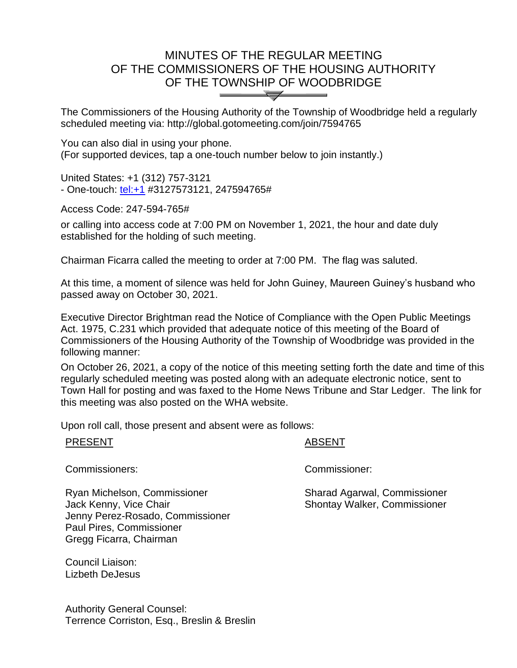# MINUTES OF THE REGULAR MEETING OF THE COMMISSIONERS OF THE HOUSING AUTHORITY OF THE TOWNSHIP OF WOODBRIDGE  $\bigvee$

The Commissioners of the Housing Authority of the Township of Woodbridge held a regularly scheduled meeting via: http://global.gotomeeting.com/join/7594765

You can also dial in using your phone. (For supported devices, tap a one-touch number below to join instantly.)

United States: +1 (312) 757-3121 - One-touch:<tel:+1> #3127573121, 247594765#

Access Code: 247-594-765#

or calling into access code at 7:00 PM on November 1, 2021, the hour and date duly established for the holding of such meeting.

Chairman Ficarra called the meeting to order at 7:00 PM. The flag was saluted.

At this time, a moment of silence was held for John Guiney, Maureen Guiney's husband who passed away on October 30, 2021.

Executive Director Brightman read the Notice of Compliance with the Open Public Meetings Act. 1975, C.231 which provided that adequate notice of this meeting of the Board of Commissioners of the Housing Authority of the Township of Woodbridge was provided in the following manner:

On October 26, 2021, a copy of the notice of this meeting setting forth the date and time of this regularly scheduled meeting was posted along with an adequate electronic notice, sent to Town Hall for posting and was faxed to the Home News Tribune and Star Ledger. The link for this meeting was also posted on the WHA website.

Upon roll call, those present and absent were as follows:

#### PRESENT Ξ

#### ABSENT

Commissioners: Commissioner:

Ryan Michelson, Commissioner Jack Kenny, Vice Chair Jenny Perez-Rosado, Commissioner Paul Pires, Commissioner Gregg Ficarra, Chairman

Council Liaison: Lizbeth DeJesus

Authority General Counsel: Terrence Corriston, Esq., Breslin & Breslin

Sharad Agarwal, Commissioner Shontay Walker, Commissioner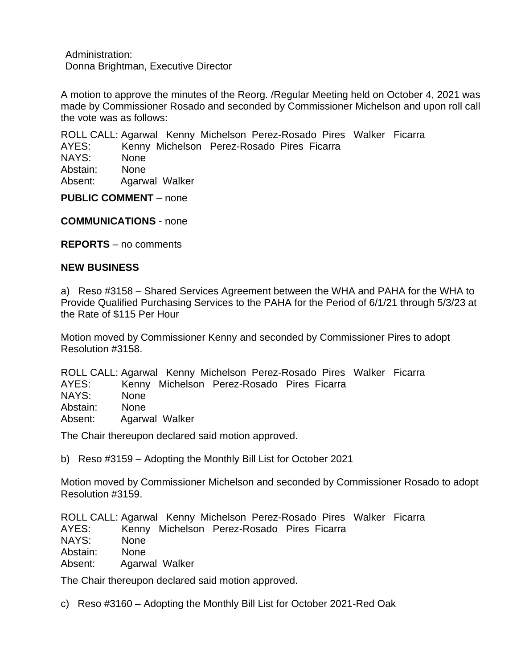Administration: Donna Brightman, Executive Director

A motion to approve the minutes of the Reorg. /Regular Meeting held on October 4, 2021 was made by Commissioner Rosado and seconded by Commissioner Michelson and upon roll call the vote was as follows:

ROLL CALL: Agarwal Kenny Michelson Perez-Rosado Pires Walker Ficarra

- AYES: Kenny Michelson Perez-Rosado Pires Ficarra
- NAYS: None
- Abstain: None
- Absent: Agarwal Walker

**PUBLIC COMMENT** – none

**COMMUNICATIONS** - none

**REPORTS** – no comments

## **NEW BUSINESS**

a) Reso #3158 – Shared Services Agreement between the WHA and PAHA for the WHA to Provide Qualified Purchasing Services to the PAHA for the Period of 6/1/21 through 5/3/23 at the Rate of \$115 Per Hour

Motion moved by Commissioner Kenny and seconded by Commissioner Pires to adopt Resolution #3158.

ROLL CALL: Agarwal Kenny Michelson Perez-Rosado Pires Walker Ficarra AYES: Kenny Michelson Perez-Rosado Pires Ficarra NAYS: None Abstain: None Absent: Agarwal Walker

The Chair thereupon declared said motion approved.

b) Reso #3159 – Adopting the Monthly Bill List for October 2021

Motion moved by Commissioner Michelson and seconded by Commissioner Rosado to adopt Resolution #3159.

ROLL CALL: Agarwal Kenny Michelson Perez-Rosado Pires Walker Ficarra AYES: Kenny Michelson Perez-Rosado Pires Ficarra NAYS: None Abstain: None Absent: Agarwal Walker

The Chair thereupon declared said motion approved.

c) Reso #3160 – Adopting the Monthly Bill List for October 2021-Red Oak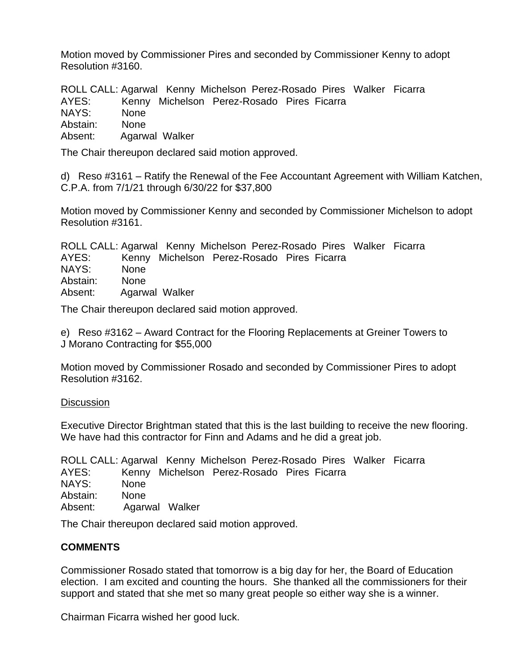Motion moved by Commissioner Pires and seconded by Commissioner Kenny to adopt Resolution #3160.

ROLL CALL: Agarwal Kenny Michelson Perez-Rosado Pires Walker Ficarra AYES: Kenny Michelson Perez-Rosado Pires Ficarra NAYS: None Abstain: None Absent: Agarwal Walker

The Chair thereupon declared said motion approved.

d) Reso #3161 – Ratify the Renewal of the Fee Accountant Agreement with William Katchen, C.P.A. from 7/1/21 through 6/30/22 for \$37,800

Motion moved by Commissioner Kenny and seconded by Commissioner Michelson to adopt Resolution #3161.

ROLL CALL: Agarwal Kenny Michelson Perez-Rosado Pires Walker Ficarra AYES: Kenny Michelson Perez-Rosado Pires Ficarra NAYS: None Abstain: None Absent: Agarwal Walker

The Chair thereupon declared said motion approved.

e) Reso #3162 – Award Contract for the Flooring Replacements at Greiner Towers to J Morano Contracting for \$55,000

Motion moved by Commissioner Rosado and seconded by Commissioner Pires to adopt Resolution #3162.

### **Discussion**

Executive Director Brightman stated that this is the last building to receive the new flooring. We have had this contractor for Finn and Adams and he did a great job.

ROLL CALL: Agarwal Kenny Michelson Perez-Rosado Pires Walker Ficarra AYES: Kenny Michelson Perez-Rosado Pires Ficarra NAYS: None Abstain: None Absent: Agarwal Walker

The Chair thereupon declared said motion approved.

### **COMMENTS**

Commissioner Rosado stated that tomorrow is a big day for her, the Board of Education election. I am excited and counting the hours. She thanked all the commissioners for their support and stated that she met so many great people so either way she is a winner.

Chairman Ficarra wished her good luck.